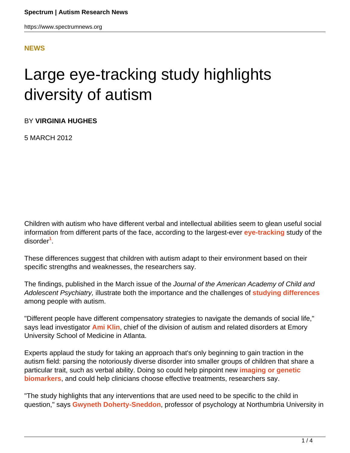#### **[NEWS](HTTPS://WWW.SPECTRUMNEWS.ORG/NEWS/)**

# Large eye-tracking study highlights diversity of autism

BY **VIRGINIA HUGHES**

5 MARCH 2012

Children with autism who have different verbal and intellectual abilities seem to glean useful social information from different parts of the face, according to the largest-ever **[eye-tracking](../../../resources/sfari-wiki/eye-tracking)** study of the disorder**<sup>1</sup>** .

These differences suggest that children with autism adapt to their environment based on their specific strengths and weaknesses, the researchers say.

The findings, published in the March issue of the Journal of the American Academy of Child and Adolescent Psychiatry, illustrate both the importance and the challenges of **[studying differences](../2011/iq-scores-not-a-good-measure-of-function-in-autism)** among people with autism.

"Different people have different compensatory strategies to navigate the demands of social life," says lead investigator **[Ami Klin](../../investigator-profiles/2008/ami-klin-warren-jones-melding-art-and-science-for-autism-research)**, chief of the division of autism and related disorders at Emory University School of Medicine in Atlanta.

Experts applaud the study for taking an approach that's only beginning to gain traction in the autism field: parsing the notoriously diverse disorder into smaller groups of children that share a particular trait, such as verbal ability. Doing so could help pinpoint new **[imaging or genetic](../../workshop-reports/2011/workshop-report-biomarkers-for-autism-research) [biomarkers](../../workshop-reports/2011/workshop-report-biomarkers-for-autism-research)**, and could help clinicians choose effective treatments, researchers say.

"The study highlights that any interventions that are used need to be specific to the child in question," says **[Gwyneth Doherty-Sneddon](http://www.northumbria.ac.uk/sd/academic/lifesciences/staff/senior/dohertysneddon/)**, professor of psychology at Northumbria University in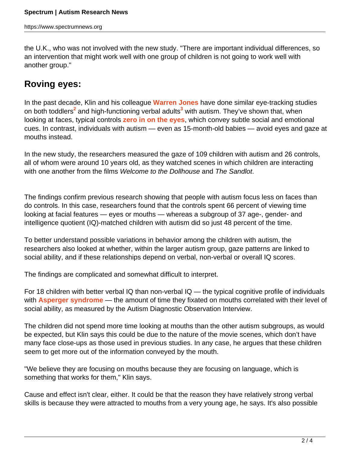the U.K., who was not involved with the new study. "There are important individual differences, so an intervention that might work well with one group of children is not going to work well with another group."

### **Roving eyes:**

In the past decade, Klin and his colleague **[Warren Jones](http://www.pedsresearch.org/research-faculty/profile/warren-jones-phd)** have done similar eye-tracking studies on both toddlers<sup>2</sup> and high-functioning verbal adults<sup>3</sup> with autism. They've shown that, when looking at faces, typical controls **[zero in on the eyes](../2008/eyes-provide-insight-into-autisms-origins)**, which convey subtle social and emotional cues. In contrast, individuals with autism — even as 15-month-old babies — avoid eyes and gaze at mouths instead.

In the new study, the researchers measured the gaze of 109 children with autism and 26 controls, all of whom were around 10 years old, as they watched scenes in which children are interacting with one another from the films Welcome to the Dollhouse and The Sandlot.

The findings confirm previous research showing that people with autism focus less on faces than do controls. In this case, researchers found that the controls spent 66 percent of viewing time looking at facial features — eyes or mouths — whereas a subgroup of 37 age-, gender- and intelligence quotient (IQ)-matched children with autism did so just 48 percent of the time.

To better understand possible variations in behavior among the children with autism, the researchers also looked at whether, within the larger autism group, gaze patterns are linked to social ability, and if these relationships depend on verbal, non-verbal or overall IQ scores.

The findings are complicated and somewhat difficult to interpret.

For 18 children with better verbal IQ than non-verbal IQ — the typical cognitive profile of individuals with **[Asperger syndrome](../../../resources/sfari-wiki/asperger-syndrome)** — the amount of time they fixated on mouths correlated with their level of social ability, as measured by the Autism Diagnostic Observation Interview.

The children did not spend more time looking at mouths than the other autism subgroups, as would be expected, but Klin says this could be due to the nature of the movie scenes, which don't have many face close-ups as those used in previous studies. In any case, he argues that these children seem to get more out of the information conveyed by the mouth.

"We believe they are focusing on mouths because they are focusing on language, which is something that works for them," Klin says.

Cause and effect isn't clear, either. It could be that the reason they have relatively strong verbal skills is because they were attracted to mouths from a very young age, he says. It's also possible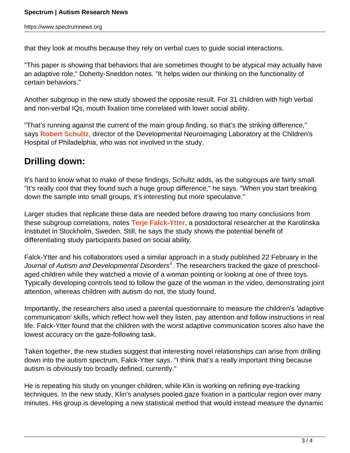that they look at mouths because they rely on verbal cues to guide social interactions.

"This paper is showing that behaviors that are sometimes thought to be atypical may actually have an adaptive role," Doherty-Sneddon notes. "It helps widen our thinking on the functionality of certain behaviors."

Another subgroup in the new study showed the opposite result. For 31 children with high verbal and non-verbal IQs, mouth fixation time correlated with lower social ability.

"That's running against the current of the main group finding, so that's the striking difference," says **[Robert Schultz](http://stokes.chop.edu/programs/car/dnl/index.php)**, director of the Developmental Neuroimaging Laboratory at the Children's Hospital of Philadelphia, who was not involved in the study.

## **Drilling down:**

It's hard to know what to make of these findings, Schultz adds, as the subgroups are fairly small. "It's really cool that they found such a huge group difference," he says. "When you start breaking down the sample into small groups, it's interesting but more speculative."

Larger studies that replicate these data are needed before drawing too many conclusions from these subgroup correlations, notes **[Terje Falck-Ytter](http://ki.se/ki/jsp/polopoly.jsp?d=34093&a=100549&l=en)**, a postdoctoral researcher at the Karolinska Institutet in Stockholm, Sweden. Still, he says the study shows the potential benefit of differentiating study participants based on social ability.

Falck-Ytter and his collaborators used a similar approach in a study published 22 February in the Journal of Autism and Developmental Disorders<sup>4</sup>. The researchers tracked the gaze of preschoolaged children while they watched a movie of a woman pointing or looking at one of three toys. Typically developing controls tend to follow the gaze of the woman in the video, demonstrating joint attention, whereas children with autism do not, the study found.

Importantly, the researchers also used a parental questionnaire to measure the children's 'adaptive communication' skills, which reflect how well they listen, pay attention and follow instructions in real life. Falck-Ytter found that the children with the worst adaptive communication scores also have the lowest accuracy on the gaze-following task.

Taken together, the new studies suggest that interesting novel relationships can arise from drilling down into the autism spectrum, Falck-Ytter says. "I think that's a really important thing because autism is obviously too broadly defined, currently."

He is repeating his study on younger children, while Klin is working on refining eye-tracking techniques. In the new study, Klin's analyses pooled gaze fixation in a particular region over many minutes. His group is developing a new statistical method that would instead measure the dynamic